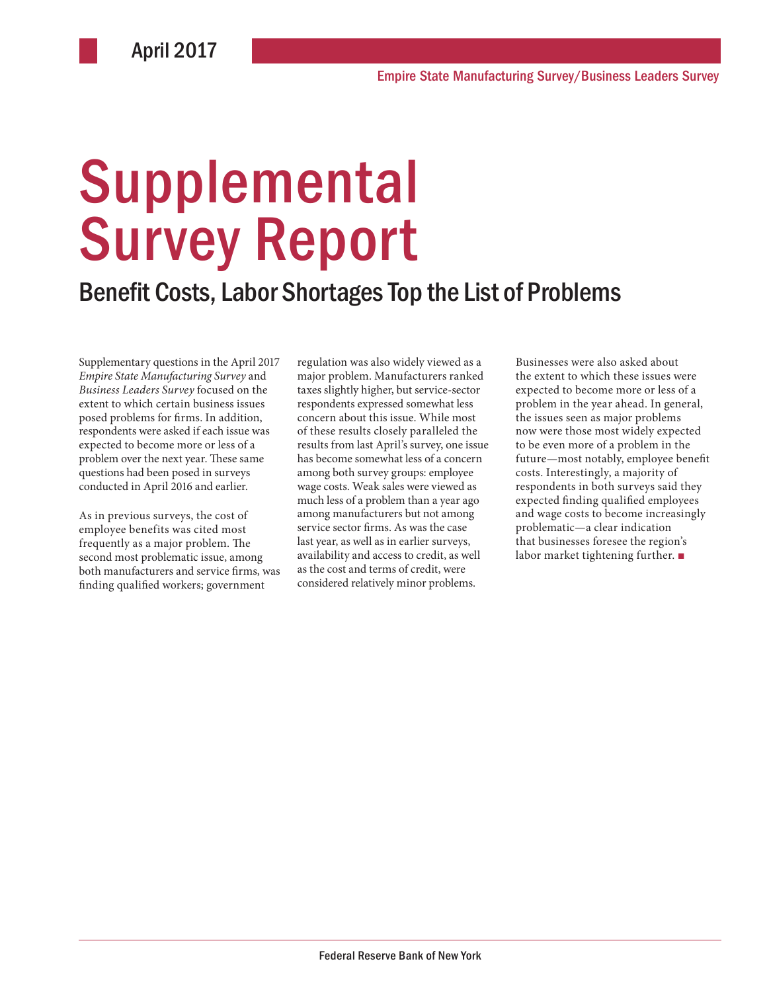# **Supplemental** Survey Report

#### Benefit Costs, Labor Shortages Top the List of Problems

Supplementary questions in the April 2017 *Empire State Manufacturing Survey* and *Business Leaders Survey* focused on the extent to which certain business issues posed problems for firms. In addition, respondents were asked if each issue was expected to become more or less of a problem over the next year. These same questions had been posed in surveys conducted in April 2016 and earlier.

As in previous surveys, the cost of employee benefits was cited most frequently as a major problem. The second most problematic issue, among both manufacturers and service firms, was finding qualified workers; government

regulation was also widely viewed as a major problem. Manufacturers ranked taxes slightly higher, but service-sector respondents expressed somewhat less concern about this issue. While most of these results closely paralleled the results from last April's survey, one issue has become somewhat less of a concern among both survey groups: employee wage costs. Weak sales were viewed as much less of a problem than a year ago among manufacturers but not among service sector firms. As was the case last year, as well as in earlier surveys, availability and access to credit, as well as the cost and terms of credit, were considered relatively minor problems.

Businesses were also asked about the extent to which these issues were expected to become more or less of a problem in the year ahead. In general, the issues seen as major problems now were those most widely expected to be even more of a problem in the future—most notably, employee benefit costs. Interestingly, a majority of respondents in both surveys said they expected finding qualified employees and wage costs to become increasingly problematic—a clear indication that businesses foresee the region's labor market tightening further. ■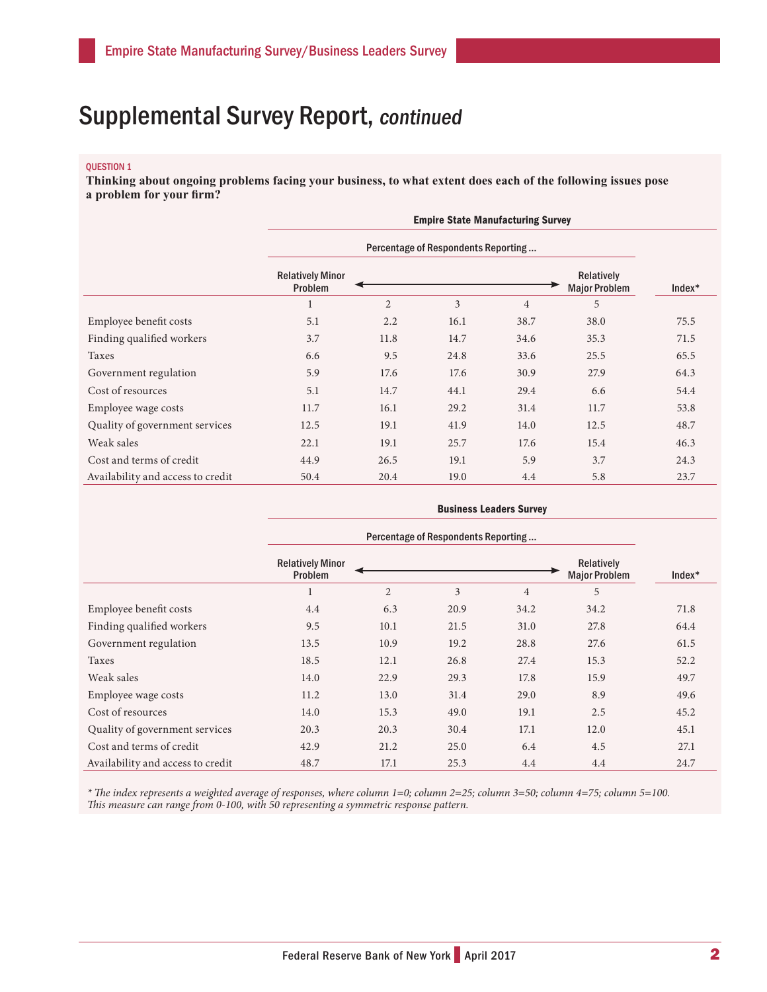#### QUESTION 1

**Thinking about ongoing problems facing your business, to what extent does each of the following issues pose a problem for your firm?**

|                                   | <b>Empire State Manufacturing Survey</b> |                |      |                |                                    |          |  |
|-----------------------------------|------------------------------------------|----------------|------|----------------|------------------------------------|----------|--|
|                                   | Percentage of Respondents Reporting      |                |      |                |                                    |          |  |
|                                   | <b>Relatively Minor</b><br>Problem       |                |      |                | Relatively<br><b>Major Problem</b> | $Index*$ |  |
|                                   |                                          | $\overline{2}$ | 3    | $\overline{4}$ | 5                                  |          |  |
| Employee benefit costs            | 5.1                                      | 2.2            | 16.1 | 38.7           | 38.0                               | 75.5     |  |
| Finding qualified workers         | 3.7                                      | 11.8           | 14.7 | 34.6           | 35.3                               | 71.5     |  |
| Taxes                             | 6.6                                      | 9.5            | 24.8 | 33.6           | 25.5                               | 65.5     |  |
| Government regulation             | 5.9                                      | 17.6           | 17.6 | 30.9           | 27.9                               | 64.3     |  |
| Cost of resources                 | 5.1                                      | 14.7           | 44.1 | 29.4           | 6.6                                | 54.4     |  |
| Employee wage costs               | 11.7                                     | 16.1           | 29.2 | 31.4           | 11.7                               | 53.8     |  |
| Quality of government services    | 12.5                                     | 19.1           | 41.9 | 14.0           | 12.5                               | 48.7     |  |
| Weak sales                        | 22.1                                     | 19.1           | 25.7 | 17.6           | 15.4                               | 46.3     |  |
| Cost and terms of credit          | 44.9                                     | 26.5           | 19.1 | 5.9            | 3.7                                | 24.3     |  |
| Availability and access to credit | 50.4                                     | 20.4           | 19.0 | 4.4            | 5.8                                | 23.7     |  |

|                                   | <b>Business Leaders Survey</b>      |                |      |                |                                           |        |
|-----------------------------------|-------------------------------------|----------------|------|----------------|-------------------------------------------|--------|
|                                   | Percentage of Respondents Reporting |                |      |                |                                           |        |
|                                   | <b>Relatively Minor</b><br>Problem  |                |      |                | <b>Relatively</b><br><b>Major Problem</b> | Index* |
|                                   | $\mathbf{1}$                        | $\overline{2}$ | 3    | $\overline{4}$ | 5                                         |        |
| Employee benefit costs            | 4.4                                 | 6.3            | 20.9 | 34.2           | 34.2                                      | 71.8   |
| Finding qualified workers         | 9.5                                 | 10.1           | 21.5 | 31.0           | 27.8                                      | 64.4   |
| Government regulation             | 13.5                                | 10.9           | 19.2 | 28.8           | 27.6                                      | 61.5   |
| Taxes                             | 18.5                                | 12.1           | 26.8 | 27.4           | 15.3                                      | 52.2   |
| Weak sales                        | 14.0                                | 22.9           | 29.3 | 17.8           | 15.9                                      | 49.7   |
| Employee wage costs               | 11.2                                | 13.0           | 31.4 | 29.0           | 8.9                                       | 49.6   |
| Cost of resources                 | 14.0                                | 15.3           | 49.0 | 19.1           | 2.5                                       | 45.2   |
| Quality of government services    | 20.3                                | 20.3           | 30.4 | 17.1           | 12.0                                      | 45.1   |
| Cost and terms of credit          | 42.9                                | 21.2           | 25.0 | 6.4            | 4.5                                       | 27.1   |
| Availability and access to credit | 48.7                                | 17.1           | 25.3 | 4.4            | 4.4                                       | 24.7   |

*\* The index represents a weighted average of responses, where column 1=0; column 2=25; column 3=50; column 4=75; column 5=100. This measure can range from 0-100, with 50 representing a symmetric response pattern.*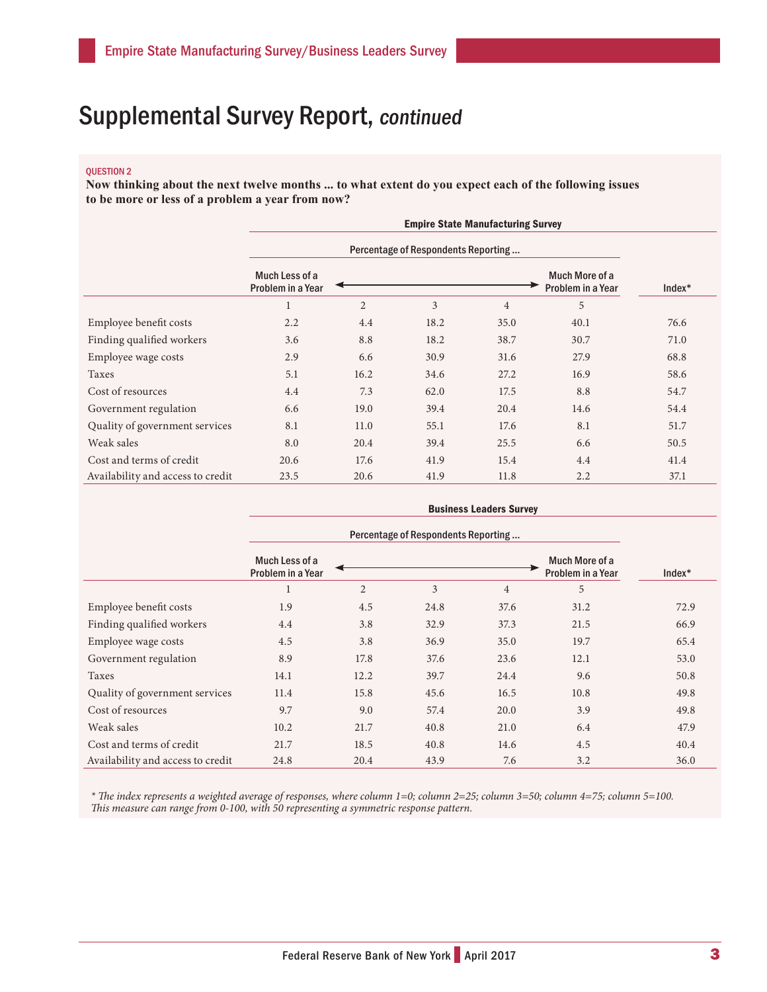#### QUESTION 2

**Now thinking about the next twelve months ... to what extent do you expect each of the following issues to be more or less of a problem a year from now?**

|                                   | <b>Empire State Manufacturing Survey</b> |                |      |                |                                     |          |
|-----------------------------------|------------------------------------------|----------------|------|----------------|-------------------------------------|----------|
|                                   |                                          |                |      |                |                                     |          |
|                                   | Much Less of a<br>Problem in a Year      |                |      |                | Much More of a<br>Problem in a Year | $Index*$ |
|                                   | $\mathbf{1}$                             | $\overline{2}$ | 3    | $\overline{4}$ | 5                                   |          |
| Employee benefit costs            | 2.2                                      | 4.4            | 18.2 | 35.0           | 40.1                                | 76.6     |
| Finding qualified workers         | 3.6                                      | 8.8            | 18.2 | 38.7           | 30.7                                | 71.0     |
| Employee wage costs               | 2.9                                      | 6.6            | 30.9 | 31.6           | 27.9                                | 68.8     |
| Taxes                             | 5.1                                      | 16.2           | 34.6 | 27.2           | 16.9                                | 58.6     |
| Cost of resources                 | 4.4                                      | 7.3            | 62.0 | 17.5           | 8.8                                 | 54.7     |
| Government regulation             | 6.6                                      | 19.0           | 39.4 | 20.4           | 14.6                                | 54.4     |
| Quality of government services    | 8.1                                      | 11.0           | 55.1 | 17.6           | 8.1                                 | 51.7     |
| Weak sales                        | 8.0                                      | 20.4           | 39.4 | 25.5           | 6.6                                 | 50.5     |
| Cost and terms of credit          | 20.6                                     | 17.6           | 41.9 | 15.4           | 4.4                                 | 41.4     |
| Availability and access to credit | 23.5                                     | 20.6           | 41.9 | 11.8           | 2.2                                 | 37.1     |

|                                   | <b>Business Leaders Survey</b>      |                |      |                |                                     |          |
|-----------------------------------|-------------------------------------|----------------|------|----------------|-------------------------------------|----------|
|                                   |                                     |                |      |                |                                     |          |
|                                   | Much Less of a<br>Problem in a Year |                |      |                | Much More of a<br>Problem in a Year | $Index*$ |
|                                   | $\mathbf{1}$                        | $\overline{2}$ | 3    | $\overline{4}$ | 5                                   |          |
| Employee benefit costs            | 1.9                                 | 4.5            | 24.8 | 37.6           | 31.2                                | 72.9     |
| Finding qualified workers         | 4.4                                 | 3.8            | 32.9 | 37.3           | 21.5                                | 66.9     |
| Employee wage costs               | 4.5                                 | 3.8            | 36.9 | 35.0           | 19.7                                | 65.4     |
| Government regulation             | 8.9                                 | 17.8           | 37.6 | 23.6           | 12.1                                | 53.0     |
| Taxes                             | 14.1                                | 12.2           | 39.7 | 24.4           | 9.6                                 | 50.8     |
| Quality of government services    | 11.4                                | 15.8           | 45.6 | 16.5           | 10.8                                | 49.8     |
| Cost of resources                 | 9.7                                 | 9.0            | 57.4 | 20.0           | 3.9                                 | 49.8     |
| Weak sales                        | 10.2                                | 21.7           | 40.8 | 21.0           | 6.4                                 | 47.9     |
| Cost and terms of credit          | 21.7                                | 18.5           | 40.8 | 14.6           | 4.5                                 | 40.4     |
| Availability and access to credit | 24.8                                | 20.4           | 43.9 | 7.6            | 3.2                                 | 36.0     |

*\* The index represents a weighted average of responses, where column 1=0; column 2=25; column 3=50; column 4=75; column 5=100. This measure can range from 0-100, with 50 representing a symmetric response pattern.*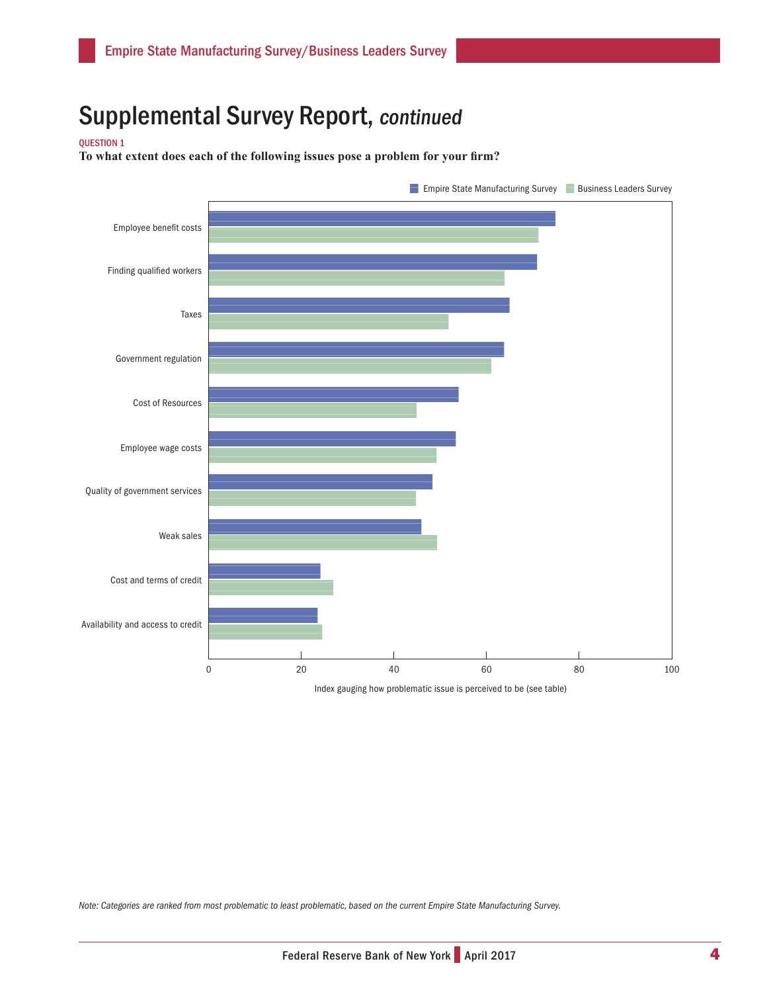QUESTION 1

**To what extent does each of the following issues pose a problem for your firm?** 



*Note: Categories are ranked from most problematic to least problematic, based on the current Empire State Manufacturing Survey.*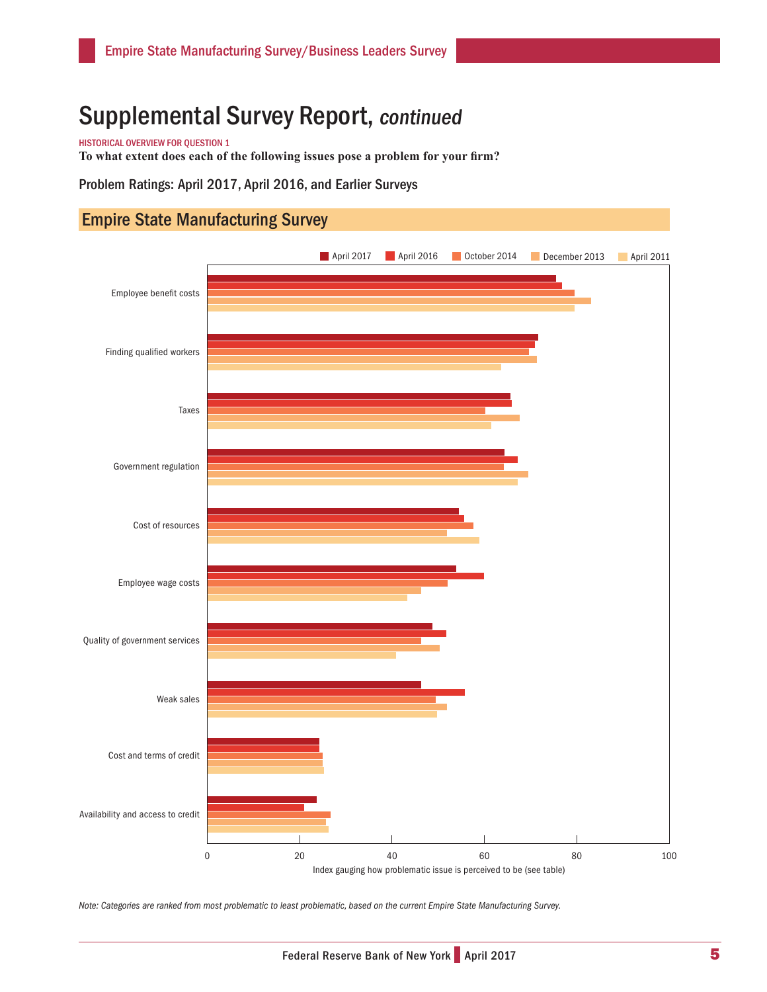HISTORICAL OVERVIEW FOR QUESTION 1

**To what extent does each of the following issues pose a problem for your firm?** 

Problem Ratings: April 2017, April 2016, and Earlier Surveys

#### Empire State Manufacturing Survey



*Note: Categories are ranked from most problematic to least problematic, based on the current Empire State Manufacturing Survey.*